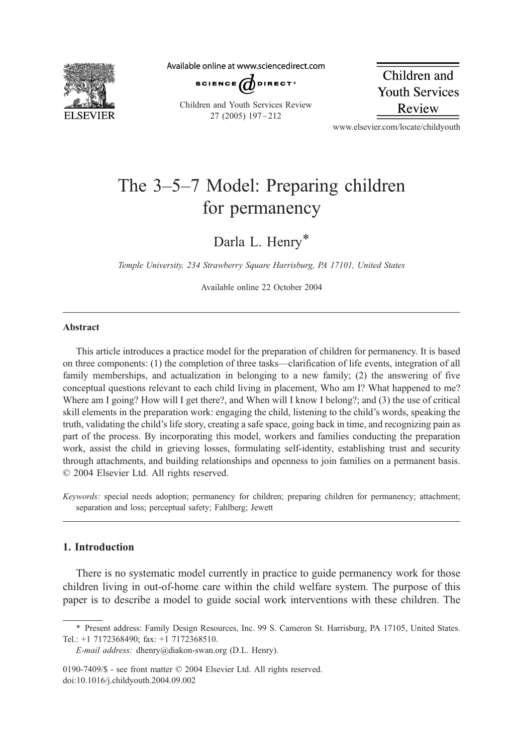

Available online at www.sciencedirect.com



Children and Youth Services Review 27 (2005) 197 – 212

Children and **Youth Services** Review

www.elsevier.com/locate/childyouth

# The 3–5–7 Model: Preparing children for permanency

Darla L. Henry\*

Temple University, 234 Strawberry Square Harrisburg, PA 17101, United States

Available online 22 October 2004

#### Abstract

This article introduces a practice model for the preparation of children for permanency. It is based on three components: (1) the completion of three tasks—clarification of life events, integration of all family memberships, and actualization in belonging to a new family; (2) the answering of five conceptual questions relevant to each child living in placement, Who am I? What happened to me? Where am I going? How will I get there?, and When will I know I belong?; and (3) the use of critical skill elements in the preparation work: engaging the child, listening to the child's words, speaking the truth, validating the child's life story, creating a safe space, going back in time, and recognizing pain as part of the process. By incorporating this model, workers and families conducting the preparation work, assist the child in grieving losses, formulating self-identity, establishing trust and security through attachments, and building relationships and openness to join families on a permanent basis.  $© 2004 Elsevier Ltd. All rights reserved.$ 

Keywords: special needs adoption; permanency for children; preparing children for permanency; attachment; separation and loss; perceptual safety; Fahlberg; Jewett

# 1. Introduction

There is no systematic model currently in practice to guide permanency work for those children living in out-of-home care within the child welfare system. The purpose of this paper is to describe a model to guide social work interventions with these children. The

<sup>\*</sup> Present address: Family Design Resources, Inc. 99 S. Cameron St. Harrisburg, PA 17105, United States. Tel.: +1 7172368490; fax: +1 7172368510.

E-mail address: dhenry@diakon-swan.org (D.L. Henry).

<sup>0190-7409/\$ -</sup> see front matter © 2004 Elsevier Ltd. All rights reserved. doi:10.1016/j.childyouth.2004.09.002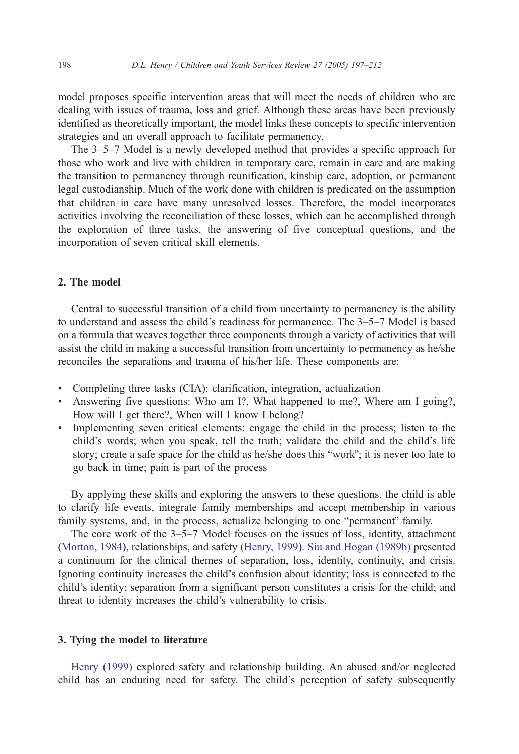model proposes specific intervention areas that will meet the needs of children who are dealing with issues of trauma, loss and grief. Although these areas have been previously identified as theoretically important, the model links these concepts to specific intervention strategies and an overall approach to facilitate permanency.

The 3–5–7 Model is a newly developed method that provides a specific approach for those who work and live with children in temporary care, remain in care and are making the transition to permanency through reunification, kinship care, adoption, or permanent legal custodianship. Much of the work done with children is predicated on the assumption that children in care have many unresolved losses. Therefore, the model incorporates activities involving the reconciliation of these losses, which can be accomplished through the exploration of three tasks, the answering of five conceptual questions, and the incorporation of seven critical skill elements.

# 2. The model

Central to successful transition of a child from uncertainty to permanency is the ability to understand and assess the child's readiness for permanence. The 3–5–7 Model is based on a formula that weaves together three components through a variety of activities that will assist the child in making a successful transition from uncertainty to permanency as he/she reconciles the separations and trauma of his/her life. These components are:

- ! Completing three tasks (CIA): clarification, integration, actualization
- ! Answering five questions: Who am I?, What happened to me?, Where am I going?, How will I get there?, When will I know I belong?
- ! Implementing seven critical elements: engage the child in the process; listen to the child's words; when you speak, tell the truth; validate the child and the child's life story; create a safe space for the child as he/she does this "work"; it is never too late to go back in time; pain is part of the process

By applying these skills and exploring the answers to these questions, the child is able to clarify life events, integrate family memberships and accept membership in various family systems, and, in the process, actualize belonging to one "permanent" family.

The core work of the 3–5–7 Model focuses on the issues of loss, identity, attachment ([Morton, 1984\)](#page-15-0), relationships, and safety ([Henry, 1999\)](#page-14-0). [Siu and Hogan \(1989b\)](#page-15-0) presented a continuum for the clinical themes of separation, loss, identity, continuity, and crisis. Ignoring continuity increases the child's confusion about identity; loss is connected to the child's identity; separation from a significant person constitutes a crisis for the child; and threat to identity increases the child's vulnerability to crisis.

# 3. Tying the model to literature

[Henry \(1999\)](#page-14-0) explored safety and relationship building. An abused and/or neglected child has an enduring need for safety. The child's perception of safety subsequently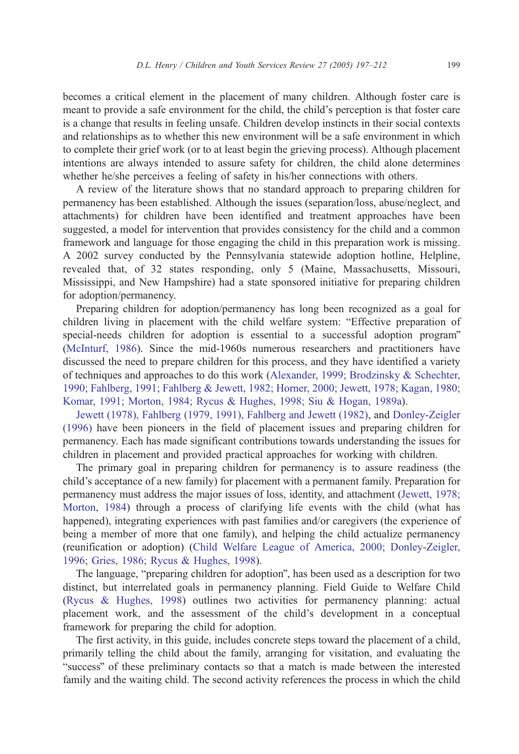becomes a critical element in the placement of many children. Although foster care is meant to provide a safe environment for the child, the child's perception is that foster care is a change that results in feeling unsafe. Children develop instincts in their social contexts and relationships as to whether this new environment will be a safe environment in which to complete their grief work (or to at least begin the grieving process). Although placement intentions are always intended to assure safety for children, the child alone determines whether he/she perceives a feeling of safety in his/her connections with others.

A review of the literature shows that no standard approach to preparing children for permanency has been established. Although the issues (separation/loss, abuse/neglect, and attachments) for children have been identified and treatment approaches have been suggested, a model for intervention that provides consistency for the child and a common framework and language for those engaging the child in this preparation work is missing. A 2002 survey conducted by the Pennsylvania statewide adoption hotline, Helpline, revealed that, of 32 states responding, only 5 (Maine, Massachusetts, Missouri, Mississippi, and New Hampshire) had a state sponsored initiative for preparing children for adoption/permanency.

Preparing children for adoption/permanency has long been recognized as a goal for children living in placement with the child welfare system: "Effective preparation of special-needs children for adoption is essential to a successful adoption program" ([McInturf, 1986\)](#page-15-0). Since the mid-1960s numerous researchers and practitioners have discussed the need to prepare children for this process, and they have identified a variety of techniques and approaches to do this work (Alexander, 1999; Brodzinsky  $\&$  Schechter, 1990; Fahlberg, 1991; Fahlberg & Jewett, 1982; Horner, 2000; Jewett, 1978; Kagan, 1980; Komar, 1991; Morton, 1984; Rycus & Hughes, 1998; Siu & Hogan, 1989a).

[Jewett \(1978\), Fahlberg \(1979, 1991\), Fahlberg and Jewett \(1982\),](#page-14-0) and [Donley-Zeigler](#page-14-0) (1996) have been pioneers in the field of placement issues and preparing children for permanency. Each has made significant contributions towards understanding the issues for children in placement and provided practical approaches for working with children.

The primary goal in preparing children for permanency is to assure readiness (the child's acceptance of a new family) for placement with a permanent family. Preparation for permanency must address the major issues of loss, identity, and attachment ([Jewett, 1978;](#page-14-0) Morton, 1984) through a process of clarifying life events with the child (what has happened), integrating experiences with past families and/or caregivers (the experience of being a member of more that one family), and helping the child actualize permanency (reunification or adoption) ([Child Welfare League of America, 2000; Donley-Zeigler,](#page-14-0) 1996; Gries, 1986; Rycus & Hughes, 1998).

The language, "preparing children for adoption", has been used as a description for two distinct, but interrelated goals in permanency planning. Field Guide to Welfare Child ([Rycus & Hughes, 1998\)](#page-15-0) outlines two activities for permanency planning: actual placement work, and the assessment of the child's development in a conceptual framework for preparing the child for adoption.

The first activity, in this guide, includes concrete steps toward the placement of a child, primarily telling the child about the family, arranging for visitation, and evaluating the "success" of these preliminary contacts so that a match is made between the interested family and the waiting child. The second activity references the process in which the child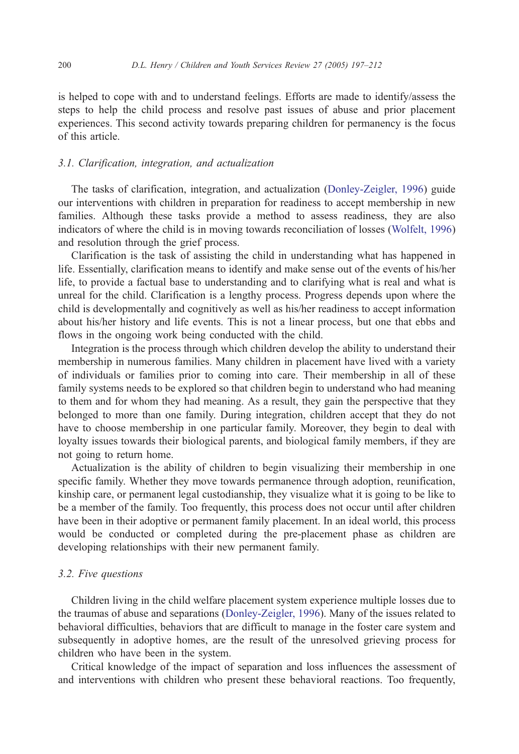is helped to cope with and to understand feelings. Efforts are made to identify/assess the steps to help the child process and resolve past issues of abuse and prior placement experiences. This second activity towards preparing children for permanency is the focus of this article.

# 3.1. Clarification, integration, and actualization

The tasks of clarification, integration, and actualization ([Donley-Zeigler, 1996\)](#page-14-0) guide our interventions with children in preparation for readiness to accept membership in new families. Although these tasks provide a method to assess readiness, they are also indicators of where the child is in moving towards reconciliation of losses ([Wolfelt, 1996\)](#page-15-0) and resolution through the grief process.

Clarification is the task of assisting the child in understanding what has happened in life. Essentially, clarification means to identify and make sense out of the events of his/her life, to provide a factual base to understanding and to clarifying what is real and what is unreal for the child. Clarification is a lengthy process. Progress depends upon where the child is developmentally and cognitively as well as his/her readiness to accept information about his/her history and life events. This is not a linear process, but one that ebbs and flows in the ongoing work being conducted with the child.

Integration is the process through which children develop the ability to understand their membership in numerous families. Many children in placement have lived with a variety of individuals or families prior to coming into care. Their membership in all of these family systems needs to be explored so that children begin to understand who had meaning to them and for whom they had meaning. As a result, they gain the perspective that they belonged to more than one family. During integration, children accept that they do not have to choose membership in one particular family. Moreover, they begin to deal with loyalty issues towards their biological parents, and biological family members, if they are not going to return home.

Actualization is the ability of children to begin visualizing their membership in one specific family. Whether they move towards permanence through adoption, reunification, kinship care, or permanent legal custodianship, they visualize what it is going to be like to be a member of the family. Too frequently, this process does not occur until after children have been in their adoptive or permanent family placement. In an ideal world, this process would be conducted or completed during the pre-placement phase as children are developing relationships with their new permanent family.

#### 3.2. Five questions

Children living in the child welfare placement system experience multiple losses due to the traumas of abuse and separations ([Donley-Zeigler, 1996\)](#page-14-0). Many of the issues related to behavioral difficulties, behaviors that are difficult to manage in the foster care system and subsequently in adoptive homes, are the result of the unresolved grieving process for children who have been in the system.

Critical knowledge of the impact of separation and loss influences the assessment of and interventions with children who present these behavioral reactions. Too frequently,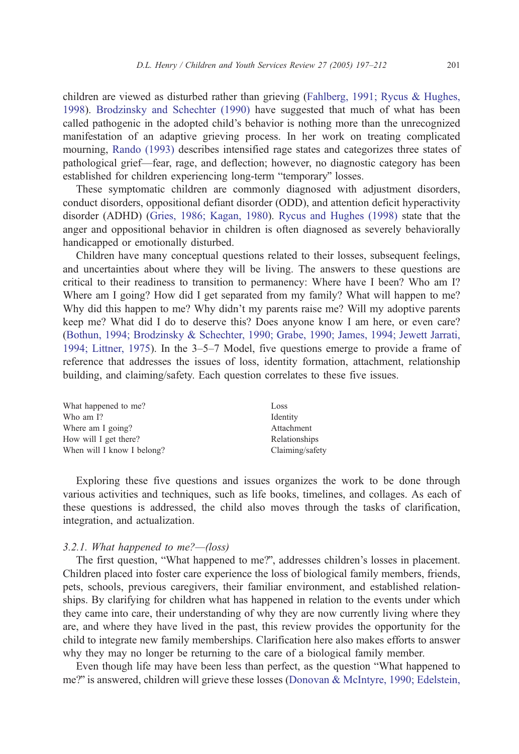children are viewed as disturbed rather than grieving ([Fahlberg, 1991; Rycus & Hughes,](#page-14-0) 1998). [Brodzinsky and Schechter \(1990\)](#page-14-0) have suggested that much of what has been called pathogenic in the adopted child's behavior is nothing more than the unrecognized manifestation of an adaptive grieving process. In her work on treating complicated mourning, [Rando \(1993\)](#page-15-0) describes intensified rage states and categorizes three states of pathological grief—fear, rage, and deflection; however, no diagnostic category has been established for children experiencing long-term "temporary" losses.

These symptomatic children are commonly diagnosed with adjustment disorders, conduct disorders, oppositional defiant disorder (ODD), and attention deficit hyperactivity disorder (ADHD) ([Gries, 1986; Kagan, 1980\)](#page-14-0). [Rycus and Hughes \(1998\)](#page-15-0) state that the anger and oppositional behavior in children is often diagnosed as severely behaviorally handicapped or emotionally disturbed.

Children have many conceptual questions related to their losses, subsequent feelings, and uncertainties about where they will be living. The answers to these questions are critical to their readiness to transition to permanency: Where have I been? Who am I? Where am I going? How did I get separated from my family? What will happen to me? Why did this happen to me? Why didn't my parents raise me? Will my adoptive parents keep me? What did I do to deserve this? Does anyone know I am here, or even care? ([Bothun, 1994; Brodzinsky & Schechter, 1990; Grabe, 1990; James, 1994; Jewett Jarrati,](#page-14-0) 1994; Littner, 1975). In the 3–5–7 Model, five questions emerge to provide a frame of reference that addresses the issues of loss, identity formation, attachment, relationship building, and claiming/safety. Each question correlates to these five issues.

| What happened to me?       | Loss            |
|----------------------------|-----------------|
| Who am I?                  | Identity        |
| Where am I going?          | Attachment      |
| How will I get there?      | Relationships   |
| When will I know I belong? | Claiming/safety |

Exploring these five questions and issues organizes the work to be done through various activities and techniques, such as life books, timelines, and collages. As each of these questions is addressed, the child also moves through the tasks of clarification, integration, and actualization.

#### 3.2.1. What happened to me?—(loss)

The first question, "What happened to me?", addresses children's losses in placement. Children placed into foster care experience the loss of biological family members, friends, pets, schools, previous caregivers, their familiar environment, and established relationships. By clarifying for children what has happened in relation to the events under which they came into care, their understanding of why they are now currently living where they are, and where they have lived in the past, this review provides the opportunity for the child to integrate new family memberships. Clarification here also makes efforts to answer why they may no longer be returning to the care of a biological family member.

Even though life may have been less than perfect, as the question "What happened to me?" is answered, children will grieve these losses ([Donovan & McIntyre, 1990; Edelstein,](#page-14-0)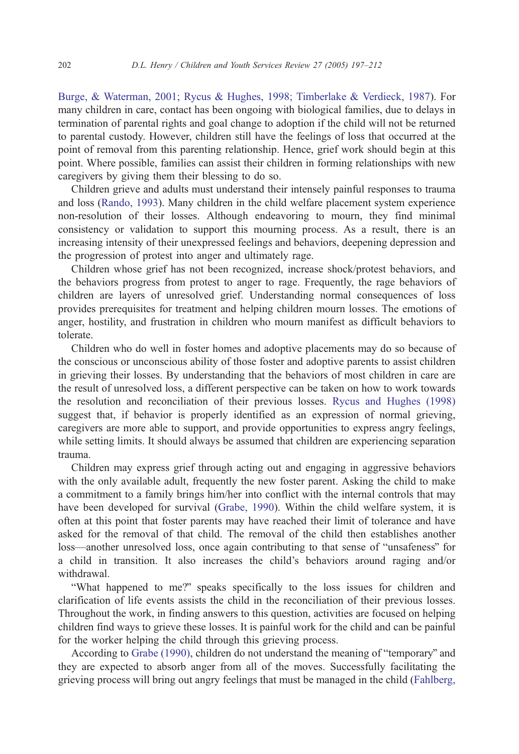Burge, & Waterman, 2001; Rycus & Hughes, 1998; Timberlake & Verdieck, 1987). For many children in care, contact has been ongoing with biological families, due to delays in termination of parental rights and goal change to adoption if the child will not be returned to parental custody. However, children still have the feelings of loss that occurred at the point of removal from this parenting relationship. Hence, grief work should begin at this point. Where possible, families can assist their children in forming relationships with new caregivers by giving them their blessing to do so.

Children grieve and adults must understand their intensely painful responses to trauma and loss ([Rando, 1993\)](#page-15-0). Many children in the child welfare placement system experience non-resolution of their losses. Although endeavoring to mourn, they find minimal consistency or validation to support this mourning process. As a result, there is an increasing intensity of their unexpressed feelings and behaviors, deepening depression and the progression of protest into anger and ultimately rage.

Children whose grief has not been recognized, increase shock/protest behaviors, and the behaviors progress from protest to anger to rage. Frequently, the rage behaviors of children are layers of unresolved grief. Understanding normal consequences of loss provides prerequisites for treatment and helping children mourn losses. The emotions of anger, hostility, and frustration in children who mourn manifest as difficult behaviors to tolerate.

Children who do well in foster homes and adoptive placements may do so because of the conscious or unconscious ability of those foster and adoptive parents to assist children in grieving their losses. By understanding that the behaviors of most children in care are the result of unresolved loss, a different perspective can be taken on how to work towards the resolution and reconciliation of their previous losses. [Rycus and Hughes \(1998\)](#page-15-0) suggest that, if behavior is properly identified as an expression of normal grieving, caregivers are more able to support, and provide opportunities to express angry feelings, while setting limits. It should always be assumed that children are experiencing separation trauma.

Children may express grief through acting out and engaging in aggressive behaviors with the only available adult, frequently the new foster parent. Asking the child to make a commitment to a family brings him/her into conflict with the internal controls that may have been developed for survival ([Grabe, 1990\)](#page-14-0). Within the child welfare system, it is often at this point that foster parents may have reached their limit of tolerance and have asked for the removal of that child. The removal of the child then establishes another loss—another unresolved loss, once again contributing to that sense of "unsafeness" for a child in transition. It also increases the child's behaviors around raging and/or withdrawal.

"What happened to me?" speaks specifically to the loss issues for children and clarification of life events assists the child in the reconciliation of their previous losses. Throughout the work, in finding answers to this question, activities are focused on helping children find ways to grieve these losses. It is painful work for the child and can be painful for the worker helping the child through this grieving process.

According to [Grabe \(1990\),](#page-14-0) children do not understand the meaning of "temporary" and they are expected to absorb anger from all of the moves. Successfully facilitating the grieving process will bring out angry feelings that must be managed in the child ([Fahlberg,](#page-14-0)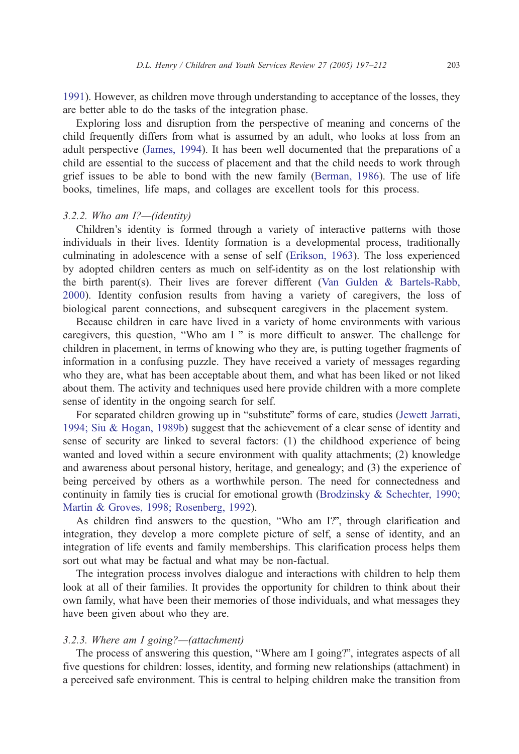1991). However, as children move through understanding to acceptance of the losses, they are better able to do the tasks of the integration phase.

Exploring loss and disruption from the perspective of meaning and concerns of the child frequently differs from what is assumed by an adult, who looks at loss from an adult perspective ([James, 1994\)](#page-14-0). It has been well documented that the preparations of a child are essential to the success of placement and that the child needs to work through grief issues to be able to bond with the new family ([Berman, 1986\)](#page-14-0). The use of life books, timelines, life maps, and collages are excellent tools for this process.

#### 3.2.2. Who am  $I?$ —(identity)

Children's identity is formed through a variety of interactive patterns with those individuals in their lives. Identity formation is a developmental process, traditionally culminating in adolescence with a sense of self ([Erikson, 1963\)](#page-14-0). The loss experienced by adopted children centers as much on self-identity as on the lost relationship with the birth parent(s). Their lives are forever different ([Van Gulden & Bartels-Rabb,](#page-15-0) 2000). Identity confusion results from having a variety of caregivers, the loss of biological parent connections, and subsequent caregivers in the placement system.

Because children in care have lived in a variety of home environments with various caregivers, this question, "Who am I" is more difficult to answer. The challenge for children in placement, in terms of knowing who they are, is putting together fragments of information in a confusing puzzle. They have received a variety of messages regarding who they are, what has been acceptable about them, and what has been liked or not liked about them. The activity and techniques used here provide children with a more complete sense of identity in the ongoing search for self.

For separated children growing up in "substitute" forms of care, studies ([Jewett Jarrati,](#page-14-0) 1994; Siu & Hogan, 1989b) suggest that the achievement of a clear sense of identity and sense of security are linked to several factors: (1) the childhood experience of being wanted and loved within a secure environment with quality attachments; (2) knowledge and awareness about personal history, heritage, and genealogy; and (3) the experience of being perceived by others as a worthwhile person. The need for connectedness and continuity in family ties is crucial for emotional growth ([Brodzinsky & Schechter, 1990;](#page-14-0) Martin & Groves, 1998; Rosenberg, 1992).

As children find answers to the question, "Who am I?", through clarification and integration, they develop a more complete picture of self, a sense of identity, and an integration of life events and family memberships. This clarification process helps them sort out what may be factual and what may be non-factual.

The integration process involves dialogue and interactions with children to help them look at all of their families. It provides the opportunity for children to think about their own family, what have been their memories of those individuals, and what messages they have been given about who they are.

#### 3.2.3. Where am I going?—(attachment)

The process of answering this question, "Where am I going?", integrates aspects of all five questions for children: losses, identity, and forming new relationships (attachment) in a perceived safe environment. This is central to helping children make the transition from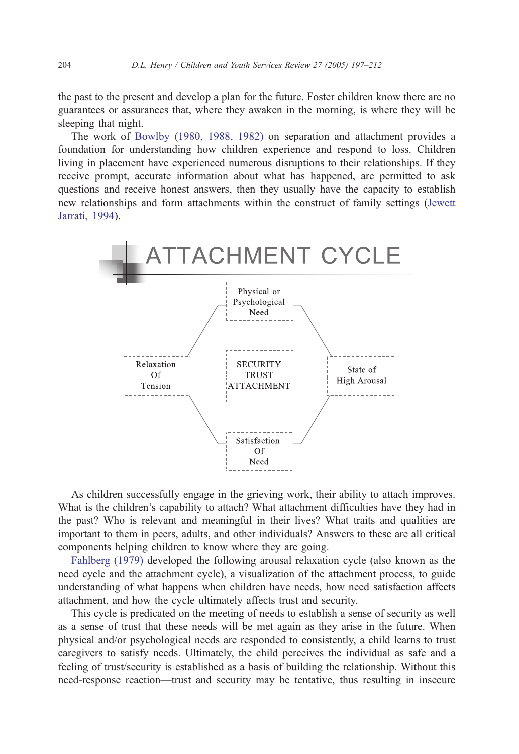the past to the present and develop a plan for the future. Foster children know there are no guarantees or assurances that, where they awaken in the morning, is where they will be sleeping that night.

The work of [Bowlby \(1980, 1988, 1982\)](#page-14-0) on separation and attachment provides a foundation for understanding how children experience and respond to loss. Children living in placement have experienced numerous disruptions to their relationships. If they receive prompt, accurate information about what has happened, are permitted to ask questions and receive honest answers, then they usually have the capacity to establish new relationships and form attachments within the construct of family settings ([Jewett](#page-14-0) Jarrati, 1994).



As children successfully engage in the grieving work, their ability to attach improves. What is the children's capability to attach? What attachment difficulties have they had in the past? Who is relevant and meaningful in their lives? What traits and qualities are important to them in peers, adults, and other individuals? Answers to these are all critical components helping children to know where they are going.

[Fahlberg \(1979\)](#page-14-0) developed the following arousal relaxation cycle (also known as the need cycle and the attachment cycle), a visualization of the attachment process, to guide understanding of what happens when children have needs, how need satisfaction affects attachment, and how the cycle ultimately affects trust and security.

This cycle is predicated on the meeting of needs to establish a sense of security as well as a sense of trust that these needs will be met again as they arise in the future. When physical and/or psychological needs are responded to consistently, a child learns to trust caregivers to satisfy needs. Ultimately, the child perceives the individual as safe and a feeling of trust/security is established as a basis of building the relationship. Without this need-response reaction—trust and security may be tentative, thus resulting in insecure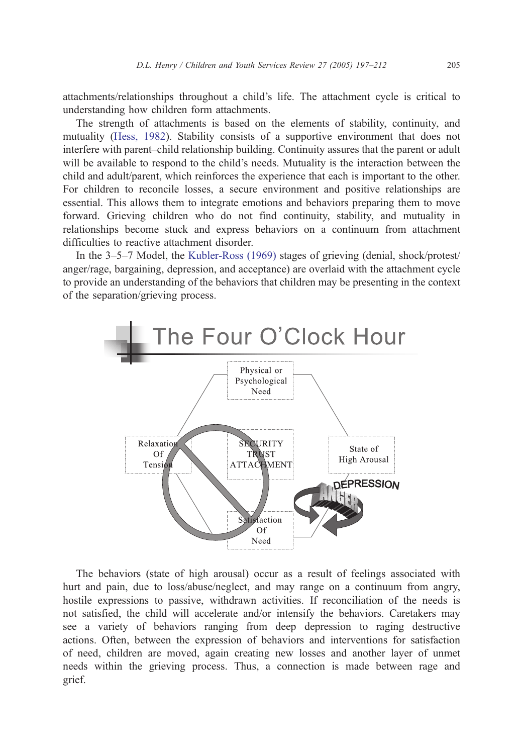attachments/relationships throughout a child's life. The attachment cycle is critical to understanding how children form attachments.

The strength of attachments is based on the elements of stability, continuity, and mutuality ([Hess, 1982\)](#page-14-0). Stability consists of a supportive environment that does not interfere with parent–child relationship building. Continuity assures that the parent or adult will be available to respond to the child's needs. Mutuality is the interaction between the child and adult/parent, which reinforces the experience that each is important to the other. For children to reconcile losses, a secure environment and positive relationships are essential. This allows them to integrate emotions and behaviors preparing them to move forward. Grieving children who do not find continuity, stability, and mutuality in relationships become stuck and express behaviors on a continuum from attachment difficulties to reactive attachment disorder.

In the 3–5–7 Model, the [Kubler-Ross \(1969\)](#page-15-0) stages of grieving (denial, shock/protest/ anger/rage, bargaining, depression, and acceptance) are overlaid with the attachment cycle to provide an understanding of the behaviors that children may be presenting in the context of the separation/grieving process.



The behaviors (state of high arousal) occur as a result of feelings associated with hurt and pain, due to loss/abuse/neglect, and may range on a continuum from angry, hostile expressions to passive, withdrawn activities. If reconciliation of the needs is not satisfied, the child will accelerate and/or intensify the behaviors. Caretakers may see a variety of behaviors ranging from deep depression to raging destructive actions. Often, between the expression of behaviors and interventions for satisfaction of need, children are moved, again creating new losses and another layer of unmet needs within the grieving process. Thus, a connection is made between rage and grief.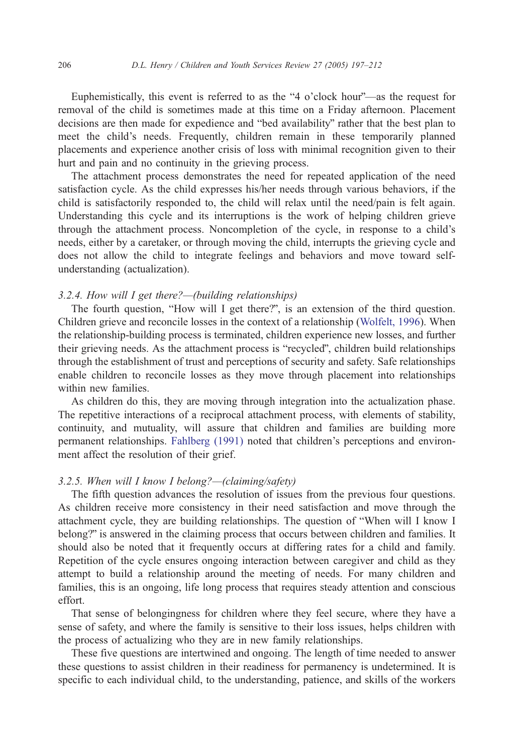Euphemistically, this event is referred to as the "4 o'clock hour"—as the request for removal of the child is sometimes made at this time on a Friday afternoon. Placement decisions are then made for expedience and "bed availability" rather that the best plan to meet the child's needs. Frequently, children remain in these temporarily planned placements and experience another crisis of loss with minimal recognition given to their hurt and pain and no continuity in the grieving process.

The attachment process demonstrates the need for repeated application of the need satisfaction cycle. As the child expresses his/her needs through various behaviors, if the child is satisfactorily responded to, the child will relax until the need/pain is felt again. Understanding this cycle and its interruptions is the work of helping children grieve through the attachment process. Noncompletion of the cycle, in response to a child's needs, either by a caretaker, or through moving the child, interrupts the grieving cycle and does not allow the child to integrate feelings and behaviors and move toward selfunderstanding (actualization).

#### 3.2.4. How will I get there?—(building relationships)

The fourth question, "How will I get there?", is an extension of the third question. Children grieve and reconcile losses in the context of a relationship ([Wolfelt, 1996\)](#page-15-0). When the relationship-building process is terminated, children experience new losses, and further their grieving needs. As the attachment process is "recycled", children build relationships through the establishment of trust and perceptions of security and safety. Safe relationships enable children to reconcile losses as they move through placement into relationships within new families.

As children do this, they are moving through integration into the actualization phase. The repetitive interactions of a reciprocal attachment process, with elements of stability, continuity, and mutuality, will assure that children and families are building more permanent relationships. [Fahlberg \(1991\)](#page-14-0) noted that children's perceptions and environment affect the resolution of their grief.

# 3.2.5. When will I know I belong?—(claiming/safety)

The fifth question advances the resolution of issues from the previous four questions. As children receive more consistency in their need satisfaction and move through the attachment cycle, they are building relationships. The question of "When will I know I belong?" is answered in the claiming process that occurs between children and families. It should also be noted that it frequently occurs at differing rates for a child and family. Repetition of the cycle ensures ongoing interaction between caregiver and child as they attempt to build a relationship around the meeting of needs. For many children and families, this is an ongoing, life long process that requires steady attention and conscious effort.

That sense of belongingness for children where they feel secure, where they have a sense of safety, and where the family is sensitive to their loss issues, helps children with the process of actualizing who they are in new family relationships.

These five questions are intertwined and ongoing. The length of time needed to answer these questions to assist children in their readiness for permanency is undetermined. It is specific to each individual child, to the understanding, patience, and skills of the workers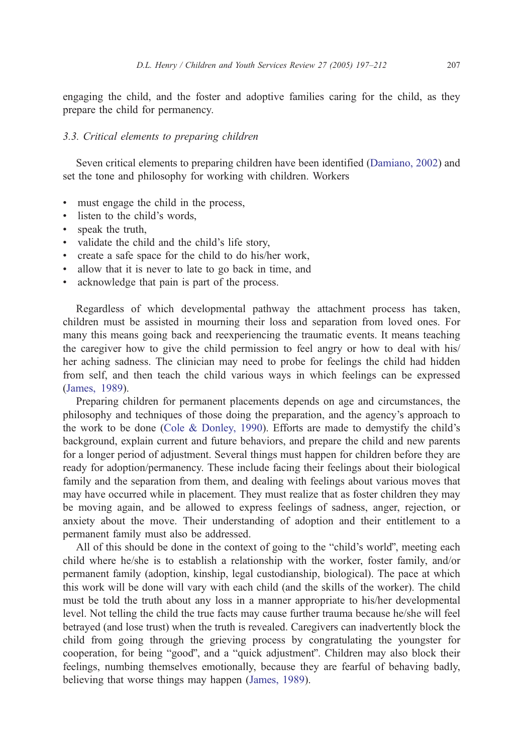engaging the child, and the foster and adoptive families caring for the child, as they prepare the child for permanency.

# 3.3. Critical elements to preparing children

Seven critical elements to preparing children have been identified ([Damiano, 2002\)](#page-14-0) and set the tone and philosophy for working with children. Workers

- ! must engage the child in the process,
- listen to the child's words,
- speak the truth,
- ! validate the child and the child's life story,
- ! create a safe space for the child to do his/her work,
- allow that it is never to late to go back in time, and
- ! acknowledge that pain is part of the process.

Regardless of which developmental pathway the attachment process has taken, children must be assisted in mourning their loss and separation from loved ones. For many this means going back and reexperiencing the traumatic events. It means teaching the caregiver how to give the child permission to feel angry or how to deal with his/ her aching sadness. The clinician may need to probe for feelings the child had hidden from self, and then teach the child various ways in which feelings can be expressed ([James, 1989\)](#page-14-0).

Preparing children for permanent placements depends on age and circumstances, the philosophy and techniques of those doing the preparation, and the agency's approach to the work to be done ([Cole & Donley, 1990\)](#page-14-0). Efforts are made to demystify the child's background, explain current and future behaviors, and prepare the child and new parents for a longer period of adjustment. Several things must happen for children before they are ready for adoption/permanency. These include facing their feelings about their biological family and the separation from them, and dealing with feelings about various moves that may have occurred while in placement. They must realize that as foster children they may be moving again, and be allowed to express feelings of sadness, anger, rejection, or anxiety about the move. Their understanding of adoption and their entitlement to a permanent family must also be addressed.

All of this should be done in the context of going to the "child's world", meeting each child where he/she is to establish a relationship with the worker, foster family, and/or permanent family (adoption, kinship, legal custodianship, biological). The pace at which this work will be done will vary with each child (and the skills of the worker). The child must be told the truth about any loss in a manner appropriate to his/her developmental level. Not telling the child the true facts may cause further trauma because he/she will feel betrayed (and lose trust) when the truth is revealed. Caregivers can inadvertently block the child from going through the grieving process by congratulating the youngster for cooperation, for being "good", and a "quick adjustment". Children may also block their feelings, numbing themselves emotionally, because they are fearful of behaving badly, believing that worse things may happen ([James, 1989\)](#page-14-0).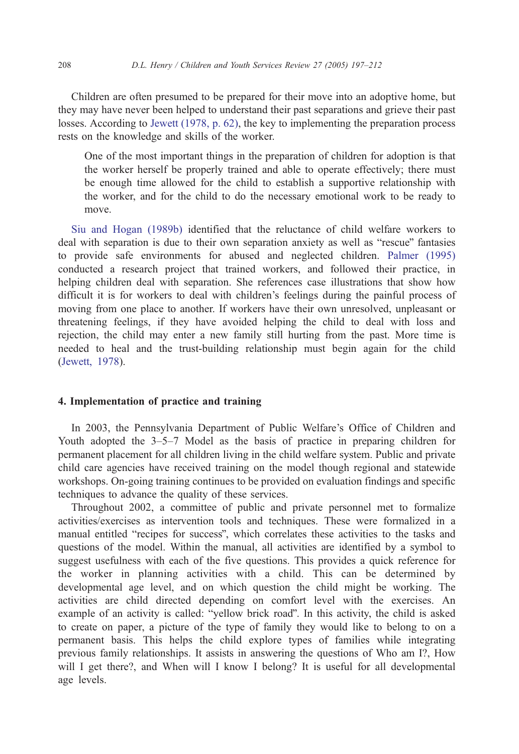Children are often presumed to be prepared for their move into an adoptive home, but they may have never been helped to understand their past separations and grieve their past losses. According to [Jewett \(1978, p. 62\),](#page-14-0) the key to implementing the preparation process rests on the knowledge and skills of the worker.

One of the most important things in the preparation of children for adoption is that the worker herself be properly trained and able to operate effectively; there must be enough time allowed for the child to establish a supportive relationship with the worker, and for the child to do the necessary emotional work to be ready to move.

[Siu and Hogan \(1989b\)](#page-15-0) identified that the reluctance of child welfare workers to deal with separation is due to their own separation anxiety as well as "rescue" fantasies to provide safe environments for abused and neglected children. [Palmer \(1995\)](#page-15-0) conducted a research project that trained workers, and followed their practice, in helping children deal with separation. She references case illustrations that show how difficult it is for workers to deal with children's feelings during the painful process of moving from one place to another. If workers have their own unresolved, unpleasant or threatening feelings, if they have avoided helping the child to deal with loss and rejection, the child may enter a new family still hurting from the past. More time is needed to heal and the trust-building relationship must begin again for the child ([Jewett, 1978\)](#page-14-0).

# 4. Implementation of practice and training

In 2003, the Pennsylvania Department of Public Welfare's Office of Children and Youth adopted the 3–5–7 Model as the basis of practice in preparing children for permanent placement for all children living in the child welfare system. Public and private child care agencies have received training on the model though regional and statewide workshops. On-going training continues to be provided on evaluation findings and specific techniques to advance the quality of these services.

Throughout 2002, a committee of public and private personnel met to formalize activities/exercises as intervention tools and techniques. These were formalized in a manual entitled "recipes for success", which correlates these activities to the tasks and questions of the model. Within the manual, all activities are identified by a symbol to suggest usefulness with each of the five questions. This provides a quick reference for the worker in planning activities with a child. This can be determined by developmental age level, and on which question the child might be working. The activities are child directed depending on comfort level with the exercises. An example of an activity is called: "yellow brick road". In this activity, the child is asked to create on paper, a picture of the type of family they would like to belong to on a permanent basis. This helps the child explore types of families while integrating previous family relationships. It assists in answering the questions of Who am I?, How will I get there?, and When will I know I belong? It is useful for all developmental age levels.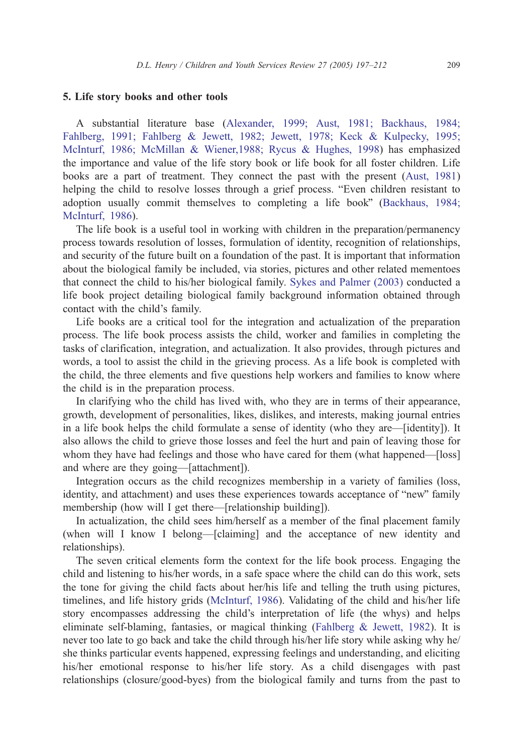# 5. Life story books and other tools

A substantial literature base ([Alexander, 1999; Aust, 1981; Backhaus, 1984;](#page-14-0) Fahlberg, 1991; Fahlberg & Jewett, 1982; Jewett, 1978; Keck & Kulpecky, 1995; McInturf, 1986; McMillan & Wiener,1988; Rycus & Hughes, 1998) has emphasized the importance and value of the life story book or life book for all foster children. Life books are a part of treatment. They connect the past with the present ([Aust, 1981\)](#page-14-0) helping the child to resolve losses through a grief process. "Even children resistant to adoption usually commit themselves to completing a life book" ([Backhaus, 1984;](#page-14-0) McInturf, 1986).

The life book is a useful tool in working with children in the preparation/permanency process towards resolution of losses, formulation of identity, recognition of relationships, and security of the future built on a foundation of the past. It is important that information about the biological family be included, via stories, pictures and other related mementoes that connect the child to his/her biological family. [Sykes and Palmer \(2003\)](#page-15-0) conducted a life book project detailing biological family background information obtained through contact with the child's family.

Life books are a critical tool for the integration and actualization of the preparation process. The life book process assists the child, worker and families in completing the tasks of clarification, integration, and actualization. It also provides, through pictures and words, a tool to assist the child in the grieving process. As a life book is completed with the child, the three elements and five questions help workers and families to know where the child is in the preparation process.

In clarifying who the child has lived with, who they are in terms of their appearance, growth, development of personalities, likes, dislikes, and interests, making journal entries in a life book helps the child formulate a sense of identity (who they are—[identity]). It also allows the child to grieve those losses and feel the hurt and pain of leaving those for whom they have had feelings and those who have cared for them (what happened—[loss] and where are they going—[attachment]).

Integration occurs as the child recognizes membership in a variety of families (loss, identity, and attachment) and uses these experiences towards acceptance of "new" family membership (how will I get there—[relationship building]).

In actualization, the child sees him/herself as a member of the final placement family (when will I know I belong—[claiming] and the acceptance of new identity and relationships).

The seven critical elements form the context for the life book process. Engaging the child and listening to his/her words, in a safe space where the child can do this work, sets the tone for giving the child facts about her/his life and telling the truth using pictures, timelines, and life history grids ([McInturf, 1986\)](#page-15-0). Validating of the child and his/her life story encompasses addressing the child's interpretation of life (the whys) and helps eliminate self-blaming, fantasies, or magical thinking ([Fahlberg & Jewett, 1982\)](#page-14-0). It is never too late to go back and take the child through his/her life story while asking why he/ she thinks particular events happened, expressing feelings and understanding, and eliciting his/her emotional response to his/her life story. As a child disengages with past relationships (closure/good-byes) from the biological family and turns from the past to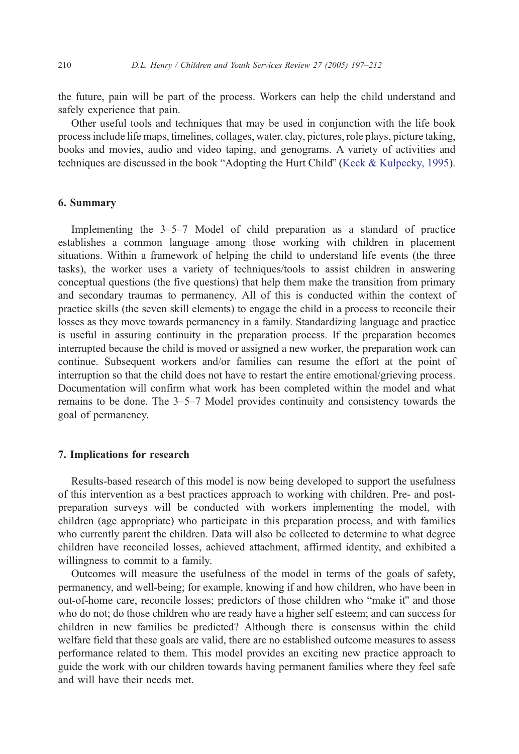the future, pain will be part of the process. Workers can help the child understand and safely experience that pain.

Other useful tools and techniques that may be used in conjunction with the life book process include life maps, timelines, collages, water, clay, pictures, role plays, picture taking, books and movies, audio and video taping, and genograms. A variety of activities and techniques are discussed in the book "Adopting the Hurt Child" (Keck  $& Kulpecky, 1995$ ).

# 6. Summary

Implementing the 3–5–7 Model of child preparation as a standard of practice establishes a common language among those working with children in placement situations. Within a framework of helping the child to understand life events (the three tasks), the worker uses a variety of techniques/tools to assist children in answering conceptual questions (the five questions) that help them make the transition from primary and secondary traumas to permanency. All of this is conducted within the context of practice skills (the seven skill elements) to engage the child in a process to reconcile their losses as they move towards permanency in a family. Standardizing language and practice is useful in assuring continuity in the preparation process. If the preparation becomes interrupted because the child is moved or assigned a new worker, the preparation work can continue. Subsequent workers and/or families can resume the effort at the point of interruption so that the child does not have to restart the entire emotional/grieving process. Documentation will confirm what work has been completed within the model and what remains to be done. The 3–5–7 Model provides continuity and consistency towards the goal of permanency.

#### 7. Implications for research

Results-based research of this model is now being developed to support the usefulness of this intervention as a best practices approach to working with children. Pre- and postpreparation surveys will be conducted with workers implementing the model, with children (age appropriate) who participate in this preparation process, and with families who currently parent the children. Data will also be collected to determine to what degree children have reconciled losses, achieved attachment, affirmed identity, and exhibited a willingness to commit to a family.

Outcomes will measure the usefulness of the model in terms of the goals of safety, permanency, and well-being; for example, knowing if and how children, who have been in out-of-home care, reconcile losses; predictors of those children who "make it" and those who do not; do those children who are ready have a higher self esteem; and can success for children in new families be predicted? Although there is consensus within the child welfare field that these goals are valid, there are no established outcome measures to assess performance related to them. This model provides an exciting new practice approach to guide the work with our children towards having permanent families where they feel safe and will have their needs met.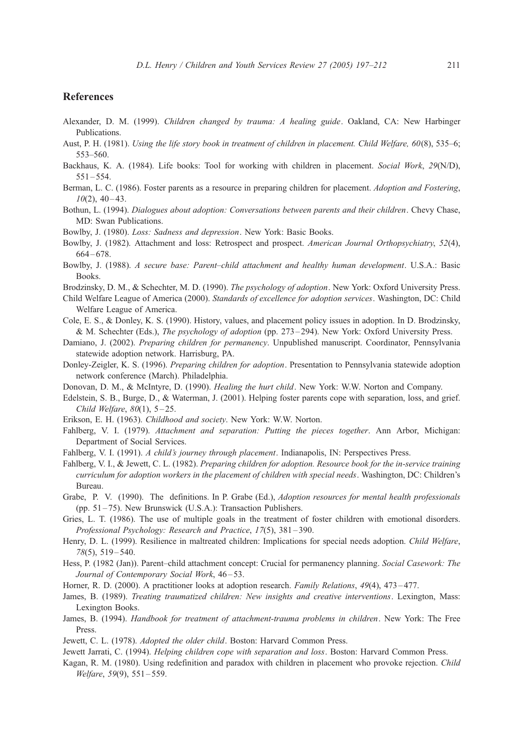# <span id="page-14-0"></span>References

- Alexander, D. M. (1999). Children changed by trauma: A healing guide. Oakland, CA: New Harbinger Publications.
- Aust, P. H. (1981). Using the life story book in treatment of children in placement. Child Welfare, 60(8), 535–6; 553–560.
- Backhaus, K. A. (1984). Life books: Tool for working with children in placement. Social Work, 29(N/D),  $551 - 554.$
- Berman, L. C. (1986). Foster parents as a resource in preparing children for placement. Adoption and Fostering,  $10(2)$ ,  $40-43$ .
- Bothun, L. (1994). Dialogues about adoption: Conversations between parents and their children. Chevy Chase, MD: Swan Publications.
- Bowlby, J. (1980). Loss: Sadness and depression. New York: Basic Books.
- Bowlby, J. (1982). Attachment and loss: Retrospect and prospect. American Journal Orthopsychiatry, 52(4),  $664 - 678.$
- Bowlby, J. (1988). A secure base: Parent–child attachment and healthy human development. U.S.A.: Basic Books.
- Brodzinsky, D. M., & Schechter, M. D. (1990). The psychology of adoption. New York: Oxford University Press.
- Child Welfare League of America (2000). Standards of excellence for adoption services. Washington, DC: Child Welfare League of America.
- Cole, E. S., & Donley, K. S. (1990). History, values, and placement policy issues in adoption. In D. Brodzinsky, & M. Schechter (Eds.), The psychology of adoption (pp. 273–294). New York: Oxford University Press.
- Damiano, J. (2002). Preparing children for permanency. Unpublished manuscript. Coordinator, Pennsylvania statewide adoption network. Harrisburg, PA.
- Donley-Zeigler, K. S. (1996). Preparing children for adoption. Presentation to Pennsylvania statewide adoption network conference (March). Philadelphia.
- Donovan, D. M., & McIntyre, D. (1990). Healing the hurt child. New York: W.W. Norton and Company.
- Edelstein, S. B., Burge, D., & Waterman, J. (2001). Helping foster parents cope with separation, loss, and grief. Child Welfare,  $80(1)$ ,  $5-25$ .
- Erikson, E. H. (1963). Childhood and society. New York: W.W. Norton.
- Fahlberg, V. I. (1979). Attachment and separation: Putting the pieces together. Ann Arbor, Michigan: Department of Social Services.
- Fahlberg, V. I. (1991). A child's journey through placement. Indianapolis, IN: Perspectives Press.
- Fahlberg, V. I., & Jewett, C. L. (1982). Preparing children for adoption. Resource book for the in-service training curriculum for adoption workers in the placement of children with special needs. Washington, DC: Children's Bureau.
- Grabe, P. V. (1990). The definitions. In P. Grabe (Ed.), *Adoption resources for mental health professionals* (pp.  $51 - 75$ ). New Brunswick (U.S.A.): Transaction Publishers.
- Gries, L. T. (1986). The use of multiple goals in the treatment of foster children with emotional disorders. Professional Psychology: Research and Practice, 17(5), 381 – 390.
- Henry, D. L. (1999). Resilience in maltreated children: Implications for special needs adoption. Child Welfare, 78(5), 519 – 540.
- Hess, P. (1982 (Jan)). Parent–child attachment concept: Crucial for permanency planning. Social Casework: The Journal of Contemporary Social Work, 46-53.
- Horner, R. D. (2000). A practitioner looks at adoption research. Family Relations, 49(4), 473 477.
- James, B. (1989). Treating traumatized children: New insights and creative interventions. Lexington, Mass: Lexington Books.
- James, B. (1994). Handbook for treatment of attachment-trauma problems in children. New York: The Free Press.
- Jewett, C. L. (1978). Adopted the older child. Boston: Harvard Common Press.
- Jewett Jarrati, C. (1994). Helping children cope with separation and loss. Boston: Harvard Common Press.
- Kagan, R. M. (1980). Using redefinition and paradox with children in placement who provoke rejection. Child Welfare, 59(9), 551-559.